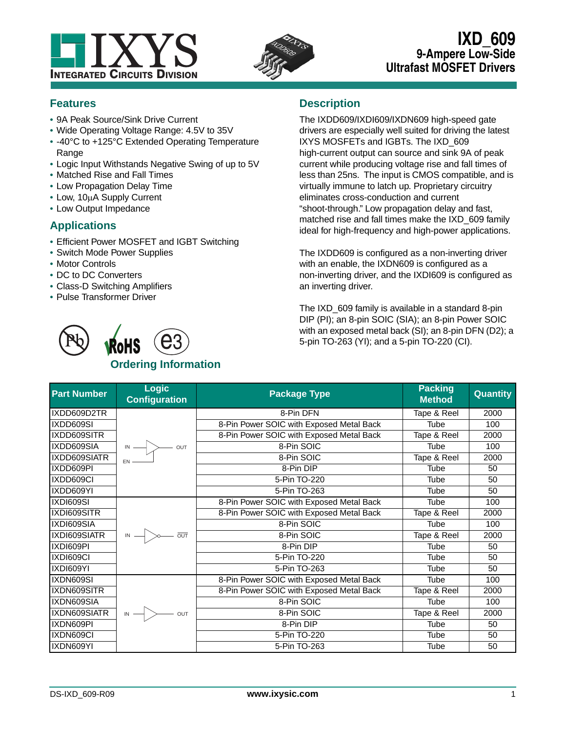



# **IXD\_609 9-Ampere Low-Side Ultrafast MOSFET Drivers**

# **Features**

- **•** 9A Peak Source/Sink Drive Current
- **•** Wide Operating Voltage Range: 4.5V to 35V
- **•** -40°C to +125°C Extended Operating Temperature Range
- **•** Logic Input Withstands Negative Swing of up to 5V
- **•** Matched Rise and Fall Times
- **•** Low Propagation Delay Time
- Low, 10µA Supply Current
- **•** Low Output Impedance

# **Applications**

- **•** Efficient Power MOSFET and IGBT Switching
- **•** Switch Mode Power Supplies
- **•** Motor Controls
- **•** DC to DC Converters
- **•** Class-D Switching Amplifiers
- **•** Pulse Transformer Driver

# **Description**

The IXDD609/IXDI609/IXDN609 high-speed gate drivers are especially well suited for driving the latest IXYS MOSFETs and IGBTs. The IXD\_609 high-current output can source and sink 9A of peak current while producing voltage rise and fall times of less than 25ns. The input is CMOS compatible, and is virtually immune to latch up. Proprietary circuitry eliminates cross-conduction and current "shoot-through." Low propagation delay and fast, matched rise and fall times make the IXD\_609 family ideal for high-frequency and high-power applications.

The IXDD609 is configured as a non-inverting driver with an enable, the IXDN609 is configured as a non-inverting driver, and the IXDI609 is configured as an inverting driver.

The IXD\_609 family is available in a standard 8-pin DIP (PI); an 8-pin SOIC (SIA); an 8-pin Power SOIC with an exposed metal back (SI); an 8-pin DFN (D2); a 5-pin TO-263 (YI); and a 5-pin TO-220 (CI).

| <b>Part Number</b> | <b>Logic</b><br><b>Configuration</b>            | <b>Package Type</b>                      | <b>Packing</b><br><b>Method</b> | Quantity |
|--------------------|-------------------------------------------------|------------------------------------------|---------------------------------|----------|
| IXDD609D2TR        |                                                 | 8-Pin DFN                                | Tape & Reel                     | 2000     |
| IXDD609SI          |                                                 | 8-Pin Power SOIC with Exposed Metal Back | <b>Tube</b>                     | 100      |
| IXDD609SITR        |                                                 | 8-Pin Power SOIC with Exposed Metal Back | Tape & Reel                     | 2000     |
| IXDD609SIA         | $\overline{M}$ $\rightarrow$ $\overline{M}$ out | 8-Pin SOIC                               | Tube                            | 100      |
| IXDD609SIATR       | EN                                              | 8-Pin SOIC                               | Tape & Reel                     | 2000     |
| IXDD609PI          |                                                 | 8-Pin DIP                                | Tube                            | 50       |
| IXDD609CI          |                                                 | 5-Pin TO-220                             | Tube                            | 50       |
| IXDD609YI          |                                                 | 5-Pin TO-263                             | <b>Tube</b>                     | 50       |
| IXDI609SI          |                                                 | 8-Pin Power SOIC with Exposed Metal Back | Tube                            | 100      |
| IXDI609SITR        |                                                 | 8-Pin Power SOIC with Exposed Metal Back | Tape & Reel                     | 2000     |
| IXDI609SIA         |                                                 | 8-Pin SOIC                               | <b>Tube</b>                     | 100      |
| IXDI609SIATR       | $\overline{M}$ $\rightarrow$ $\overline{M}$     | 8-Pin SOIC                               | Tape & Reel                     | 2000     |
| IXDI609PI          |                                                 | 8-Pin DIP                                | Tube                            | 50       |
| IXDI609CI          |                                                 | 5-Pin TO-220                             | <b>Tube</b>                     | 50       |
| IXDI609YI          |                                                 | 5-Pin TO-263                             | <b>Tube</b>                     | 50       |
| IXDN609SI          |                                                 | 8-Pin Power SOIC with Exposed Metal Back | <b>Tube</b>                     | 100      |
| IXDN609SITR        |                                                 | 8-Pin Power SOIC with Exposed Metal Back | Tape & Reel                     | 2000     |
| IXDN609SIA         |                                                 | 8-Pin SOIC                               | <b>Tube</b>                     | 100      |
| IXDN609SIATR       | $\mathbb{N} \longrightarrow$ out                | 8-Pin SOIC                               | Tape & Reel                     | 2000     |
| IXDN609PI          |                                                 | 8-Pin DIP                                | Tube                            | 50       |
| IXDN609CI          |                                                 | 5-Pin TO-220                             | Tube                            | 50       |
| IXDN609YI          |                                                 | 5-Pin TO-263                             | Tube                            | 50       |

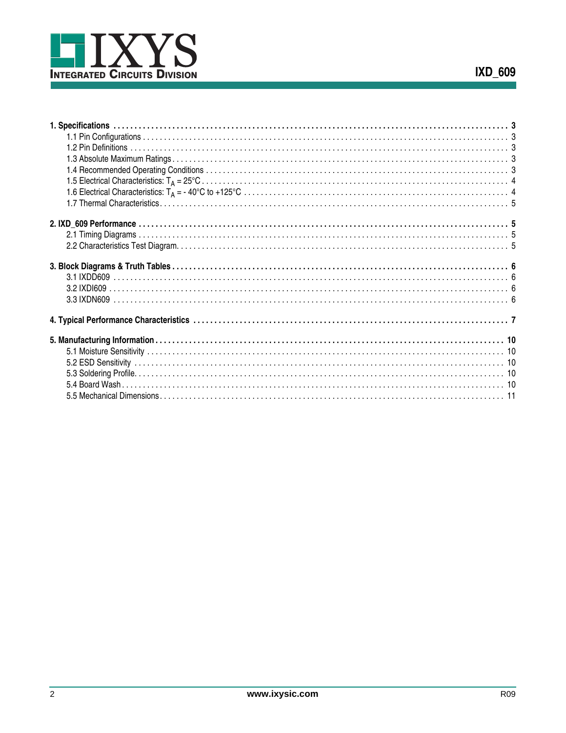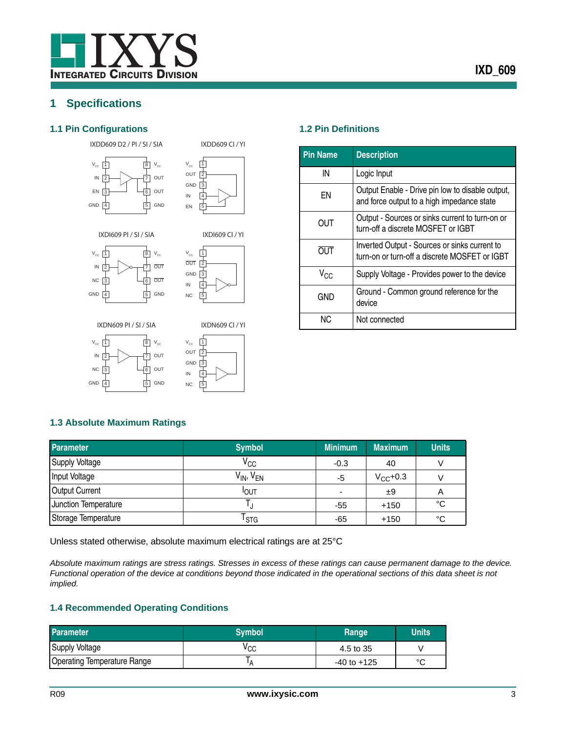# <span id="page-2-0"></span>**1 Specifications**

### <span id="page-2-1"></span>**1.1 Pin Configurations 1.2 Pin Definitions**

IXDD609 D2 / PI / SI / SIA





IXDI609 CI / YI

IXDD609 CI / YI

IXDI609 PI / SI / SIA







8

 $V_{cc}$ OUT OUT GND

5 6 7

 $|1|$ 

 $V_{cc}$ IN NC GND

4  $\sqrt{3}$ 2



<span id="page-2-2"></span>

| <b>Pin Name</b> | <b>Description</b>                                                                             |
|-----------------|------------------------------------------------------------------------------------------------|
| IN              | Logic Input                                                                                    |
| ΕN              | Output Enable - Drive pin low to disable output,<br>and force output to a high impedance state |
| OUT             | Output - Sources or sinks current to turn-on or<br>turn-off a discrete MOSFET or IGBT          |
| <b>OUT</b>      | Inverted Output - Sources or sinks current to<br>turn-on or turn-off a discrete MOSFET or IGBT |
| V <sub>CC</sub> | Supply Voltage - Provides power to the device                                                  |
| GND             | Ground - Common ground reference for the<br>device                                             |
| NC.             | Not connected                                                                                  |

### <span id="page-2-3"></span>**1.3 Absolute Maximum Ratings**

| Parameter             | <b>Symbol</b>       | <b>Minimum</b>           | <b>Maximum</b> | <b>Units</b> |
|-----------------------|---------------------|--------------------------|----------------|--------------|
| <b>Supply Voltage</b> | $V_{\rm CC}$        | $-0.3$                   | 40             |              |
| Input Voltage         | $V_{IN}$ , $V_{EN}$ | -5                       | $V_{CC}$ +0.3  |              |
| <b>Output Current</b> | <b>I</b> OUT        | $\overline{\phantom{0}}$ | ±9             | A            |
| Junction Temperature  |                     | -55                      | $+150$         | °C           |
| Storage Temperature   | l stg               | -65                      | $+150$         | °C           |

Unless stated otherwise, absolute maximum electrical ratings are at 25°C

*Absolute maximum ratings are stress ratings. Stresses in excess of these ratings can cause permanent damage to the device. Functional operation of the device at conditions beyond those indicated in the operational sections of this data sheet is not implied.* 

### <span id="page-2-4"></span>**1.4 Recommended Operating Conditions**

| <b>Parameter</b>                   | <b>Symbol</b> | Range           | <b>Units</b> |
|------------------------------------|---------------|-----------------|--------------|
| <b>Supply Voltage</b>              | ∨сс           | 4.5 to 35       |              |
| <b>Operating Temperature Range</b> | 'A            | $-40$ to $+125$ | $\sim$       |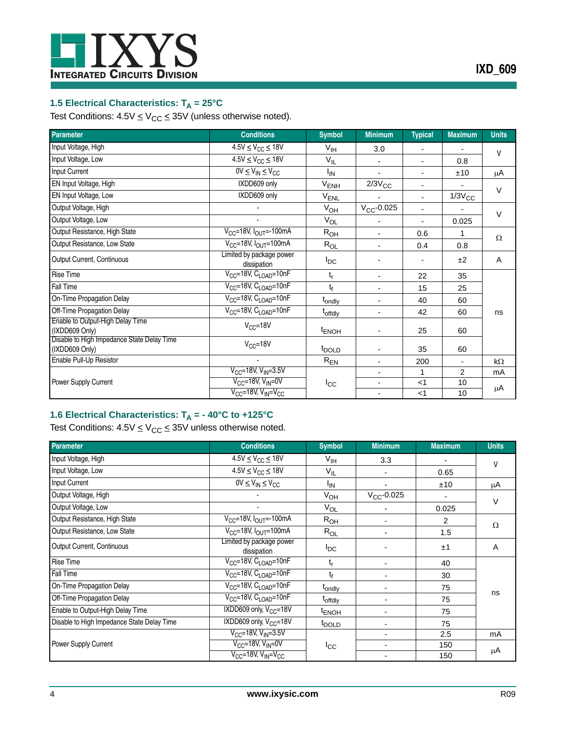

# <span id="page-3-0"></span>**1.5 Electrical Characteristics: T<sub>A</sub> = 25°C**

Test Conditions:  $4.5V \leq V_{CC} \leq 35V$  (unless otherwise noted).

| <b>Parameter</b>                                             | <b>Conditions</b>                       | <b>Symbol</b>       | <b>Minimum</b>           | <b>Typical</b> | <b>Maximum</b>           | <b>Units</b> |
|--------------------------------------------------------------|-----------------------------------------|---------------------|--------------------------|----------------|--------------------------|--------------|
| Input Voltage, High                                          | $4.5V \leq V_{CC} \leq 18V$             | V <sub>IH</sub>     | 3.0                      |                | $\overline{\phantom{a}}$ | V            |
| Input Voltage, Low                                           | $4.5V \leq V_{CC} \leq 18V$             | $V_{IL}$            |                          |                | 0.8                      |              |
| Input Current                                                | $0V \leq V_{IN} \leq V_{CC}$            | $I_{IN}$            |                          |                | ±10                      | μA           |
| EN Input Voltage, High                                       | IXDD609 only                            | V <sub>ENH</sub>    | $2/3V_{CC}$              |                | $\overline{\phantom{a}}$ | $\vee$       |
| EN Input Voltage, Low                                        | IXDD609 only                            | V <sub>ENL</sub>    |                          |                | $1/3V_{\rm CC}$          |              |
| Output Voltage, High                                         |                                         | $V_{OH}$            | $V_{CC}$ -0.025          | $\overline{a}$ | $\overline{\phantom{a}}$ | $\vee$       |
| Output Voltage, Low                                          |                                         | $V_{OL}$            |                          |                | 0.025                    |              |
| Output Resistance, High State                                | $V_{CC}$ =18V, $I_{OUT}$ =-100mA        | $R_{OH}$            | $\blacksquare$           | 0.6            | 1                        | $\Omega$     |
| Output Resistance, Low State                                 | $V_{CC}$ =18V, $I_{OUT}$ =100mA         | $R_{OL}$            | $\blacksquare$           | 0.4            | 0.8                      |              |
| Output Current, Continuous                                   | Limited by package power<br>dissipation | $I_{DC}$            |                          |                | ±2                       | A            |
| <b>Rise Time</b>                                             | $V_{CC}$ =18V, $C_{LOAD}$ =10nF         | $t_{r}$             | $\blacksquare$           | 22             | 35                       |              |
| Fall Time                                                    | $V_{CC}$ =18V, $C_{LOAD}$ =10nF         | $t_f$               | $\blacksquare$           | 15             | 25                       |              |
| On-Time Propagation Delay                                    | $V_{CC}$ =18V, $C_{LOAD}$ =10nF         | t <sub>ondly</sub>  | $\blacksquare$           | 40             | 60                       |              |
| Off-Time Propagation Delay                                   | $V_{CC}$ =18V, $C_{LOAD}$ =10nF         | t <sub>offdly</sub> | $\blacksquare$           | 42             | 60                       | ns           |
| Enable to Output-High Delay Time<br>(IXDD609 Only)           | $V_{CC} = 18V$                          | <sup>t</sup> ENOH   |                          | 25             | 60                       |              |
| Disable to High Impedance State Delay Time<br>(IXDD609 Only) | $V_{CC} = 18V$                          | t <sub>DOI D</sub>  | $\overline{\phantom{a}}$ | 35             | 60                       |              |
| Enable Pull-Up Resistor                                      |                                         | $R_{EN}$            | $\blacksquare$           | 200            | $\blacksquare$           | kΩ           |
|                                                              | $V_{CC}$ =18V, $V_{IN}$ =3.5V           |                     | $\overline{\phantom{a}}$ | 1              | $\overline{2}$           | mA           |
| Power Supply Current                                         | $V_{CC}$ =18V, $V_{IN}$ =0V             | $I_{\rm CC}$        | $\blacksquare$           | $<$ 1          | 10                       | μA           |
|                                                              | $V_{CC}$ =18V, $V_{IN}$ = $V_{CC}$      |                     | $\blacksquare$           | $<$ 1          | 10                       |              |

# <span id="page-3-1"></span>**1.6 Electrical Characteristics: T<sub>A</sub> = - 40°C to +125°C**

Test Conditions:  $4.5V \leq V_{CC} \leq 35V$  unless otherwise noted.

| <b>Parameter</b>                           | <b>Conditions</b>                              | <b>Symbol</b>       | <b>Minimum</b>  | <b>Maximum</b> | <b>Units</b>   |
|--------------------------------------------|------------------------------------------------|---------------------|-----------------|----------------|----------------|
| Input Voltage, High                        | $4.5V \leq V_{CC} \leq 18V$                    | V <sub>IH</sub>     | 3.3             |                | $\mathsf{V}$   |
| Input Voltage, Low                         | $4.5V \leq V_{CC} \leq 18V$                    | $V_{IL}$            |                 | 0.65           |                |
| Input Current                              | $0V \leq V_{IN} \leq V_{CC}$                   | <sup>I</sup> IN     |                 | ±10            | μA             |
| Output Voltage, High                       |                                                | $V_{OH}$            | $V_{CC}$ -0.025 |                | $\vee$         |
| Output Voltage, Low                        |                                                | $V_{OL}$            |                 | 0.025          |                |
| Output Resistance, High State              | V <sub>CC</sub> =18V, I <sub>OUT</sub> =-100mA | $R_{OH}$            |                 | 2              | $\Omega$       |
| Output Resistance, Low State               | $V_{CC}$ =18V, $I_{OUT}$ =100mA                | $R_{OL}$            |                 | 1.5            |                |
| Output Current, Continuous                 | Limited by package power<br>dissipation        | $I_{DC}$            |                 | ±1             | $\overline{A}$ |
| <b>Rise Time</b>                           | $V_{CC}$ =18V, $C_{LOAD}$ =10nF                | $t_{r}$             |                 | 40             |                |
| Fall Time                                  | $V_{CC}$ =18V, $C_{LOAD}$ =10nF                | t <sub>f</sub>      |                 | 30             |                |
| On-Time Propagation Delay                  | $V_{CC}$ =18V, $C_{LOAD}$ =10nF                | t <sub>ondly</sub>  |                 | 75             |                |
| Off-Time Propagation Delay                 | $V_{CC}$ =18V, $C_{LOAD}$ =10nF                | t <sub>offdly</sub> |                 | 75             | ns             |
| Enable to Output-High Delay Time           | IXDD609 only, V <sub>CC</sub> =18V             | <sup>t</sup> ENOH   |                 | 75             |                |
| Disable to High Impedance State Delay Time | IXDD609 only, $V_{CC}$ =18V                    | t <sub>DOLD</sub>   |                 | 75             |                |
|                                            | $V_{CC}$ =18V, V <sub>IN</sub> =3.5V           |                     |                 | 2.5            | mA             |
| Power Supply Current                       | $V_{CC}$ =18V, $V_{IN}$ =0V                    | $I_{\rm CC}$        |                 | 150            |                |
|                                            | $V_{CC}$ =18V, $V_{IN}$ = $V_{CC}$             |                     |                 | 150            | μA             |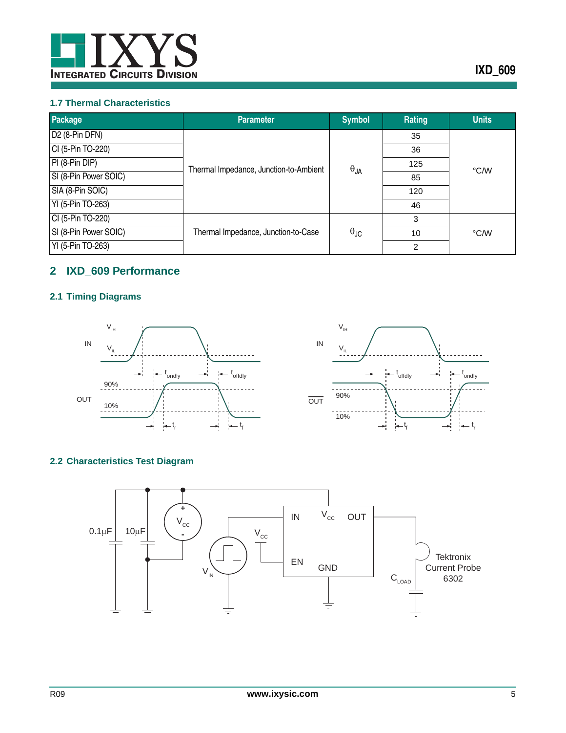

### <span id="page-4-0"></span>**1.7 Thermal Characteristics**

| <b>Package</b>             | <b>Parameter</b>                       | <b>Symbol</b>        | Rating | <b>Units</b> |
|----------------------------|----------------------------------------|----------------------|--------|--------------|
| D <sub>2</sub> (8-Pin DFN) |                                        | $\theta_{JA}$        | 35     | °C/W         |
| CI (5-Pin TO-220)          |                                        |                      | 36     |              |
| PI (8-Pin DIP)             | Thermal Impedance, Junction-to-Ambient |                      | 125    |              |
| SI (8-Pin Power SOIC)      |                                        |                      | 85     |              |
| SIA (8-Pin SOIC)           |                                        |                      | 120    |              |
| YI (5-Pin TO-263)          |                                        |                      | 46     |              |
| CI (5-Pin TO-220)          |                                        |                      | 3      |              |
| SI (8-Pin Power SOIC)      | Thermal Impedance, Junction-to-Case    | $\theta_{\text{JC}}$ | 10     | °C/W         |
| YI (5-Pin TO-263)          |                                        |                      | 2      |              |

# <span id="page-4-1"></span>**2 IXD\_609 Performance**

# <span id="page-4-2"></span>**2.1 Timing Diagrams**





# <span id="page-4-3"></span>**2.2 Characteristics Test Diagram**

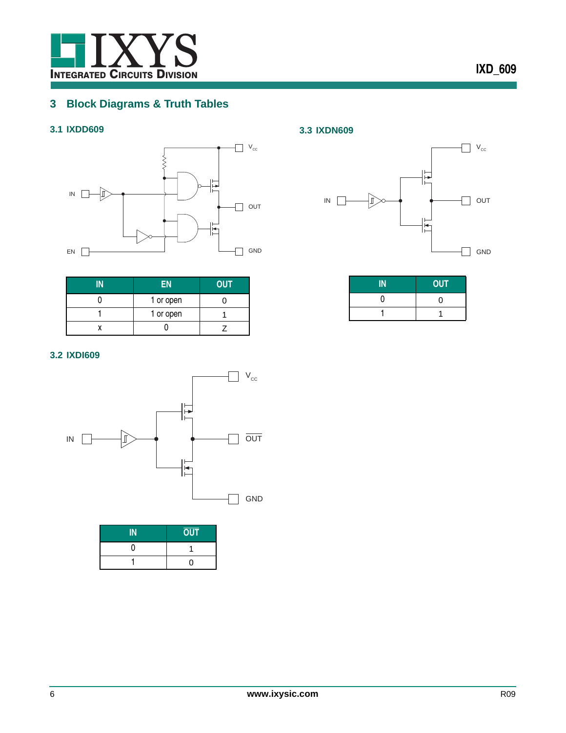

# <span id="page-5-0"></span>**3 Block Diagrams & Truth Tables**

# <span id="page-5-1"></span>**3.1 IXDD609**



| EN        | <b>OUT</b> |
|-----------|------------|
| 1 or open |            |
| 1 or open |            |
|           |            |

### <span id="page-5-2"></span>**3.2 IXDI609**



| IN | <b>OUT</b> |
|----|------------|
|    |            |
|    | 0          |

### <span id="page-5-3"></span>**3.3 IXDN609**



| <b>OUT</b> |
|------------|
| ∩          |
|            |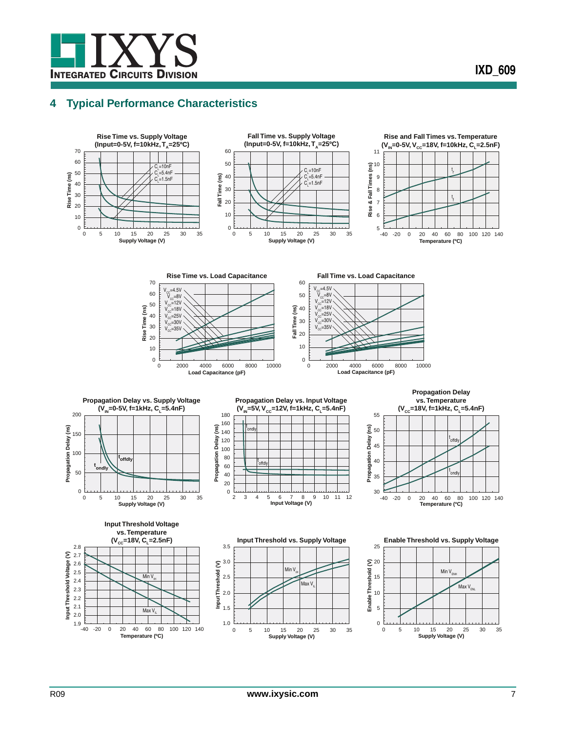

# <span id="page-6-0"></span>**4 Typical Performance Characteristics**

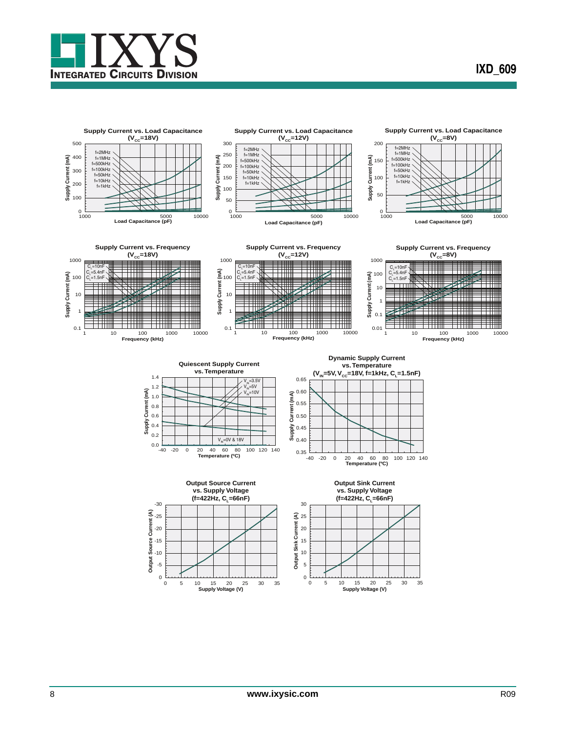

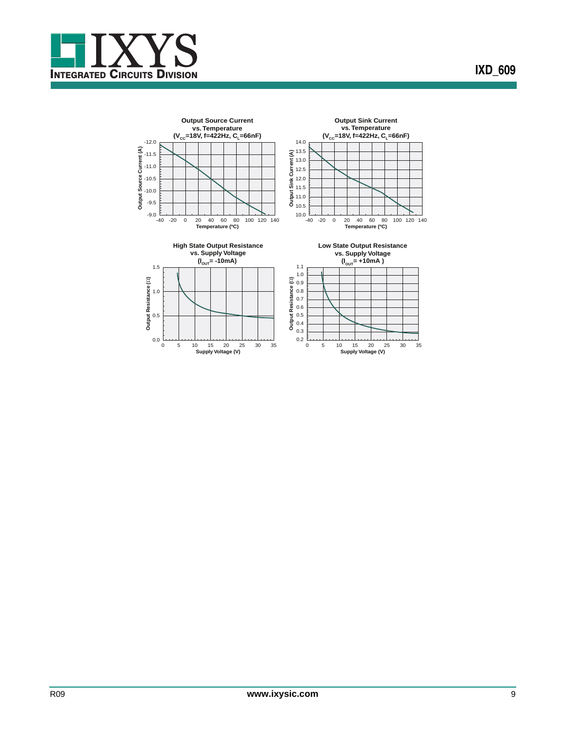

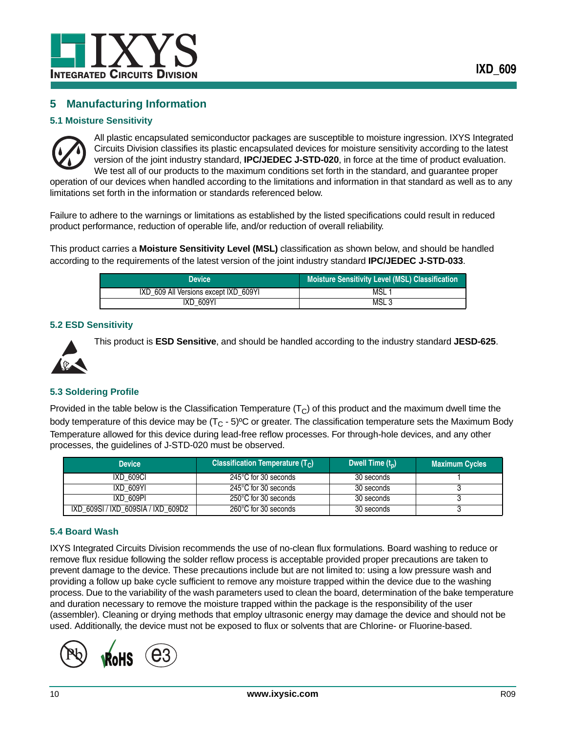

## <span id="page-9-0"></span>**5 Manufacturing Information**

### <span id="page-9-1"></span>**5.1 Moisture Sensitivity**



All plastic encapsulated semiconductor packages are susceptible to moisture ingression. IXYS Integrated Circuits Division classifies its plastic encapsulated devices for moisture sensitivity according to the latest version of the joint industry standard, **IPC/JEDEC J-STD-020**, in force at the time of product evaluation. We test all of our products to the maximum conditions set forth in the standard, and guarantee proper operation of our devices when handled according to the limitations and information in that standard as well as to any

limitations set forth in the information or standards referenced below.

Failure to adhere to the warnings or limitations as established by the listed specifications could result in reduced product performance, reduction of operable life, and/or reduction of overall reliability.

This product carries a **Moisture Sensitivity Level (MSL)** classification as shown below, and should be handled according to the requirements of the latest version of the joint industry standard **IPC/JEDEC J-STD-033**.

| <b>Device</b>                         | <b>Moisture Sensitivity Level (MSL) Classification</b> |
|---------------------------------------|--------------------------------------------------------|
| IXD 609 All Versions except IXD 609YI | MSL                                                    |
| <b>IXD 609YI</b>                      | MSL <sub>3</sub>                                       |

### <span id="page-9-2"></span>**5.2 ESD Sensitivity**



This product is **ESD Sensitive**, and should be handled according to the industry standard **JESD-625**.

### <span id="page-9-3"></span>**5.3 Soldering Profile**

Provided in the table below is the Classification Temperature  $(T<sub>C</sub>)$  of this product and the maximum dwell time the body temperature of this device may be  $(T<sub>C</sub> - 5)$ <sup>o</sup>C or greater. The classification temperature sets the Maximum Body Temperature allowed for this device during lead-free reflow processes. For through-hole devices, and any other processes, the guidelines of J-STD-020 must be observed.

| <b>Device</b>                      | Classification Temperature $(T_C)$ | Dwell Time $(t_n)$ | <b>Maximum Cycles</b> |
|------------------------------------|------------------------------------|--------------------|-----------------------|
| IXD 609CI                          | 245°C for 30 seconds               | 30 seconds         |                       |
| IXD 609YI                          | 245°C for 30 seconds               | 30 seconds         |                       |
| IXD 609PI                          | 250°C for 30 seconds               | 30 seconds         |                       |
| IXD_609SI / IXD_609SIA / IXD_609D2 | 260°C for 30 seconds               | 30 seconds         |                       |

### <span id="page-9-4"></span>**5.4 Board Wash**

IXYS Integrated Circuits Division recommends the use of no-clean flux formulations. Board washing to reduce or remove flux residue following the solder reflow process is acceptable provided proper precautions are taken to prevent damage to the device. These precautions include but are not limited to: using a low pressure wash and providing a follow up bake cycle sufficient to remove any moisture trapped within the device due to the washing process. Due to the variability of the wash parameters used to clean the board, determination of the bake temperature and duration necessary to remove the moisture trapped within the package is the responsibility of the user (assembler). Cleaning or drying methods that employ ultrasonic energy may damage the device and should not be used. Additionally, the device must not be exposed to flux or solvents that are Chlorine- or Fluorine-based.

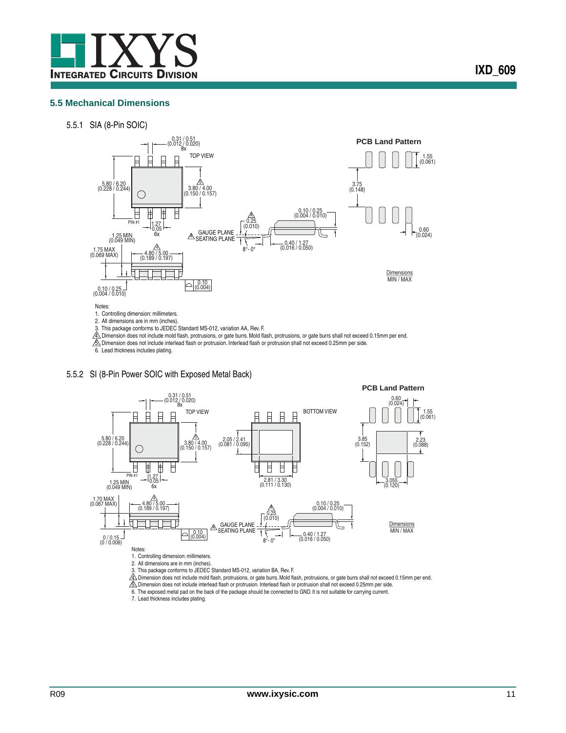

<span id="page-10-0"></span>5.5.1 SIA (8-Pin SOIC)



2. All dimensions are in mm (inches).<br>
2. All dimensions are in mm (inches).<br>
3. This package conforms to JEDEC Standard MS-012, variation AA, Rev. F.

3. This package conforms to JEDEC Standard MS-012, variation AA, Rev. F.<br>公 Dimension does not include mold flash, protrusions, or gate burrs. Mold flash, protrusions, or gate burrs shall not exceed 0.15mm per end.<br>公 Dimens





6. The exposed metal pad on the back of the package should be connected to GND. It is not suitable for carrying current.

7. Lead thickness includes plating.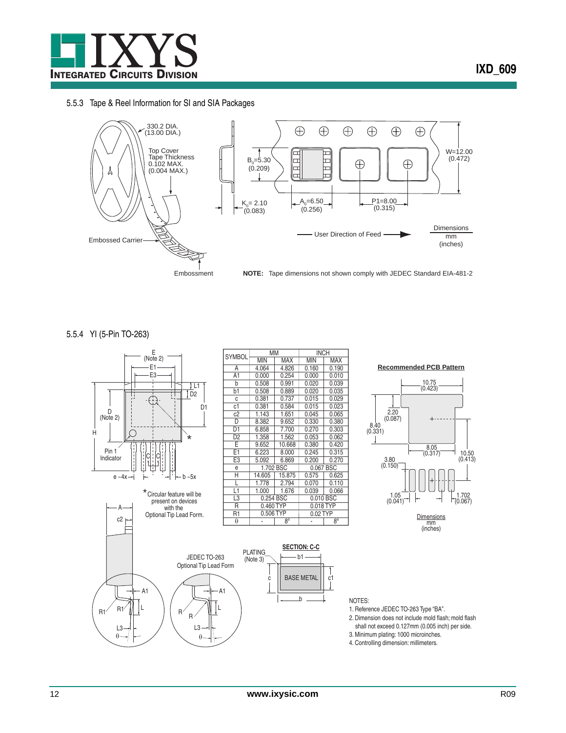

### 5.5.3 Tape & Reel Information for SI and SIA Packages



5.5.4 YI (5-Pin TO-263)

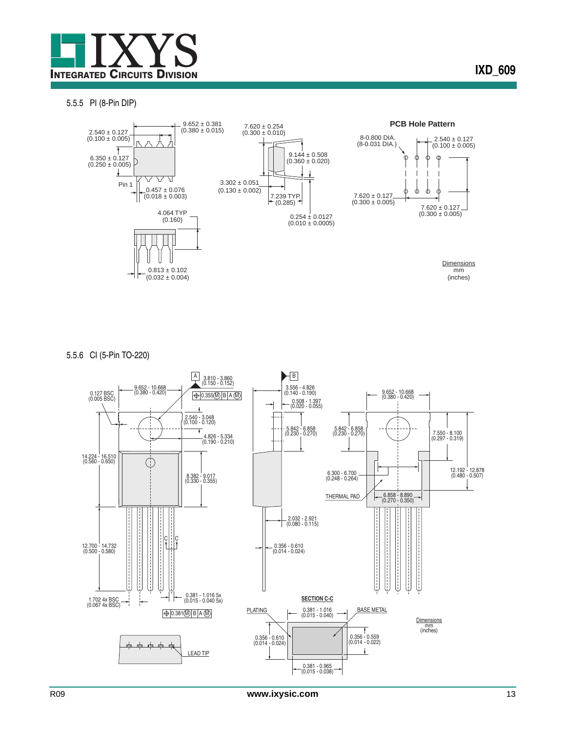

#### 5.5.5 PI (8-Pin DIP)



5.5.6 CI (5-Pin TO-220)